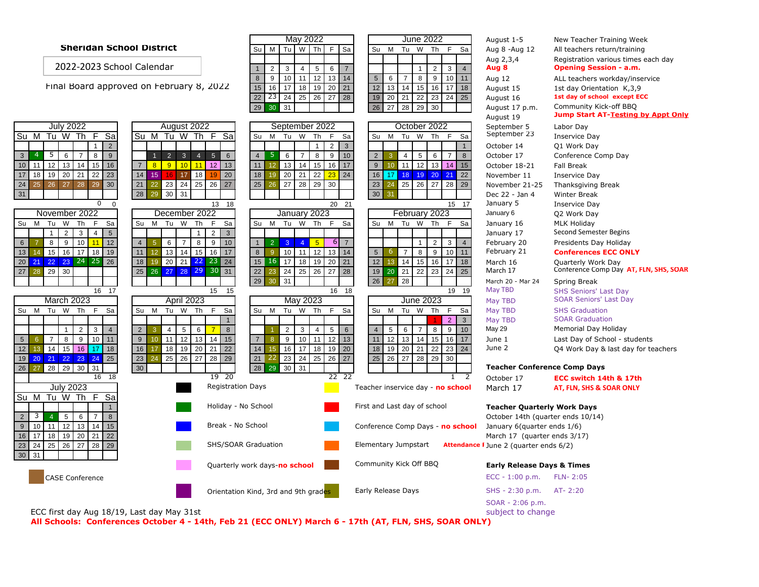## **Sheridan School District** Su M Tu W Th F Sa Su M Tu W Th F Sa Aug 8 -Aug 12 All teachers return/training

2022-2023 School Calendar

Final Board approved on February 8, 2022 15 16 17 18 19 20 21 12 13 14 15 16 17 18 August 15 1st day Orientation K, 3, 9

|                                                                                         |                                                                                           | 29<br>30 31                                                                                                   | 26 27<br>28 29 30                                                          | August 17 p.m.                         | Community Kick-off BBQ<br><b>Jump Start AT-Testing by Appt Only</b> |
|-----------------------------------------------------------------------------------------|-------------------------------------------------------------------------------------------|---------------------------------------------------------------------------------------------------------------|----------------------------------------------------------------------------|----------------------------------------|---------------------------------------------------------------------|
|                                                                                         |                                                                                           |                                                                                                               |                                                                            | August 19                              |                                                                     |
| <b>July 2022</b>                                                                        | August 2022                                                                               | September 2022                                                                                                | October 2022                                                               | September 5                            | Labor Day                                                           |
| Tu W Th F<br>$\overline{\mathsf{Sa}}$<br>Su M                                           | Su M<br>Tu W Th F Sa                                                                      | Tu<br>W Th<br>F<br>Su<br>M<br>Sa                                                                              | Su<br>Tu<br>W Th F<br>M<br>Sa                                              | September 23                           | <b>Inservice Day</b>                                                |
| 2<br>$\mathbf{1}$                                                                       |                                                                                           | 3<br>2<br>$\overline{1}$                                                                                      | $\overline{1}$                                                             | October 14                             | Q1 Work Day                                                         |
| 9<br>- 5<br>$6\overline{6}$<br>8<br>$\overline{4}$<br>$\overline{7}$<br>$\mathbf{3}$    | 3 <sup>1</sup><br>$\overline{4}$<br>5 <sup>5</sup><br>6<br>$\overline{2}$<br>$\mathbf{1}$ | 10<br>9<br>$\overline{4}$<br>5<br>6<br>$\overline{7}$<br>8                                                    | $5 \mid 6$<br>$\overline{2}$<br>$\overline{4}$<br>$\overline{7}$<br>8<br>3 | October 17                             | Conference Comp Day                                                 |
| 12<br>$13 \mid 14$<br>15<br>16<br>10<br>11                                              | $10$ 11<br>$12$ 13<br>$\overline{7}$<br>8 <sup>1</sup><br>9                               | 13<br>14 15<br>17<br>16<br>11<br>12 <sup>2</sup>                                                              | 11<br>12 13<br>15<br>9<br>14<br>10 <sup>1</sup>                            | October 18-21                          | <b>Fall Break</b>                                                   |
| 19<br>20 21<br>22<br>23<br>17<br>18                                                     | 17 18<br>20<br>14<br>15<br>16<br>19                                                       | 20<br>21 22<br>24<br>18<br>19<br>23                                                                           | 18 19 20<br>17 <sup>1</sup><br>22<br>16<br>21                              | November 11                            | Inservice Day                                                       |
| 27<br>26<br>28<br>30<br>24<br>29<br>25                                                  | $24 \mid 25$<br>23<br>26<br>$\sqrt{27}$<br>21<br>22                                       | 27<br>$\overline{28}$ 29<br>30<br>25<br>26                                                                    | 25 26 27 28<br>29<br>23<br>24                                              | November 21-25                         | Thanksgiving Break                                                  |
| 31                                                                                      | 30 31<br>28<br>29                                                                         |                                                                                                               | 30 <sup>°</sup><br>31                                                      | Dec 22 - Jan 4                         | Winter Break                                                        |
| $\overline{0}$<br>$\Omega$                                                              | 13 18                                                                                     | 20 21                                                                                                         | 15 17                                                                      | January 5                              | <b>Inservice Day</b>                                                |
| November 2022                                                                           | December 2022                                                                             | January 2023                                                                                                  | February 2023                                                              | January 6                              | Q2 Work Day                                                         |
| M Tu W Th<br>F<br>Sa<br>Su                                                              | M Tu W<br>Th<br>F<br>Sa<br>Su                                                             | Su<br>Tu W Th<br>F<br>Sa<br>M                                                                                 | Su<br>M Tu W Th<br>F<br>Sa                                                 | January 16                             | <b>MLK Holiday</b>                                                  |
| $5\overline{)}$<br>$\overline{2}$<br>$\overline{3}$<br>$\overline{1}$<br>$\overline{4}$ | $2 \mid 3$<br>$\mathbf{1}$                                                                |                                                                                                               |                                                                            | January 17                             | Second Semester Begins                                              |
| 12<br>9<br>10<br>11<br>8<br>$6\phantom{1}$                                              | 8<br>10<br>6<br>9<br>$\overline{4}$<br>$\overline{7}$<br>5                                | 2 <sup>7</sup><br>3 <sup>°</sup><br>$\overline{4}$<br>5 <sub>5</sub><br>-61<br>$\mathbf{1}$<br>$\overline{7}$ | 2<br>$\mathbf{1}$<br>3<br>$\overline{4}$                                   | February 20                            | Presidents Day Holiday                                              |
| 15<br>16 17 18 19<br>13<br>14                                                           | 13 14 15 16 17<br>11<br>12 <sup>°</sup>                                                   | 10 11 12 13 14<br>8<br>$\overline{9}$                                                                         | $5\overline{5}$<br>$\overline{7}$<br>8<br>10<br>6<br>$\overline{9}$<br>11  | February 21                            | <b>Conferences ECC ONLY</b>                                         |
| 22 23 24 25<br>26<br>20<br>21                                                           | 20<br>21 22 23 24<br>18<br>19                                                             | $16 \overline{17}$<br>18 19 20<br>21<br>15                                                                    | 12<br>14<br>$15$ 16<br>17<br>18<br>13                                      | March 16                               | Quarterly Work Day                                                  |
| 29 30<br>28<br>27                                                                       | 25 26 27 28 29 30 31                                                                      | 24 25 26 27 28<br>22<br>23                                                                                    | 19 20 21 22 23 24 25                                                       | March 17                               | Conference Comp Day AT, FLN, SHS, SOAR                              |
|                                                                                         |                                                                                           | 31<br>29<br>30                                                                                                | 26<br>28<br>27                                                             | March 20 - Mar 24                      | Spring Break                                                        |
| 16 17                                                                                   | 15 15                                                                                     | 16 18                                                                                                         | 19 19                                                                      | May TBD                                | <b>SHS Seniors' Last Day</b>                                        |
| <b>March 2023</b>                                                                       | April 2023                                                                                | May 2023                                                                                                      | <b>June 2023</b>                                                           | May TBD                                | <b>SOAR Seniors' Last Day</b>                                       |
| Tu W Th<br>F<br>Su M<br>Sa                                                              | Tu W Th<br>F<br>M<br>Sa<br>Su                                                             | Tu W Th<br>F<br>Su M<br>Sa                                                                                    | Tu W Th<br>F<br>Su<br>M<br>Sa                                              | May TBD                                | <b>SHS Graduation</b>                                               |
|                                                                                         |                                                                                           |                                                                                                               | $\overline{2}$<br>$\overline{3}$                                           | May TBD                                | <b>SOAR Graduation</b>                                              |
| $\overline{2}$<br>$\overline{\mathbf{3}}$<br>$\overline{4}$<br>1 <sup>1</sup>           | $\overline{2}$<br>$\overline{4}$<br>$5 \mid 6$<br>8<br>3<br>$\overline{7}$                | $\overline{2}$<br>3 <sup>1</sup><br>$6\phantom{1}$<br>$\overline{4}$<br>5                                     | 6<br>8<br>9<br>10<br>$\overline{4}$<br>5<br>$\overline{7}$                 | May 29                                 | Memorial Day Holiday                                                |
| 8<br>9<br>10<br>$\overline{7}$<br>11<br>5 <sup>5</sup><br>6                             | $12$ 13<br>11<br>$14$ 15<br>9<br>10                                                       | 13<br>10 11<br>12<br>$\overline{7}$<br>9<br>8                                                                 | 13 14 15<br>12<br>16<br>17<br>11                                           | June 1                                 | Last Day of School - students                                       |
| 14 15 16 17 18<br>12<br>13                                                              | 18 19 20 21 22<br>16<br>17                                                                | 16<br>17 18<br>$19$ 20<br>14<br>15                                                                            | 19 20 21 22<br>24<br>18<br>23                                              | June 2                                 | Q4 Work Day & last day for teachers                                 |
| 25<br>19 20 21 22 23 24                                                                 | 25<br>26 27 28 29<br>23<br>24                                                             | 23<br>27<br>$24 \mid 25 \mid$<br>26<br>21                                                                     | 27<br>28 29<br>$25 \mid 26$<br>30                                          |                                        |                                                                     |
| 28 29 30 31<br>26<br>27                                                                 | 30 <sup>°</sup>                                                                           | 28 29<br>30 31                                                                                                |                                                                            | <b>Teacher Conference Comp Days</b>    |                                                                     |
| 16 18                                                                                   | 19<br>20                                                                                  | 22<br>22                                                                                                      | 1<br>2                                                                     | October 17                             | ECC switch 14th & 17th                                              |
| <b>July 2023</b>                                                                        | <b>Registration Days</b>                                                                  |                                                                                                               | Teacher inservice day - no school                                          | March 17                               | AT, FLN, SHS & SOAR ONLY                                            |
| Tu W Th<br>Sa<br>Su M<br>-F                                                             |                                                                                           |                                                                                                               |                                                                            |                                        |                                                                     |
| $\overline{1}$                                                                          | Holiday - No School                                                                       |                                                                                                               | First and Last day of school                                               | <b>Teacher Quarterly Work Days</b>     |                                                                     |
| 3<br>8<br>5 <sup>1</sup><br>6<br>2<br>$\overline{4}$<br>$\overline{7}$                  |                                                                                           |                                                                                                               |                                                                            | October 14th (quarter ends 10/14)      |                                                                     |
| $12$ 13 14<br>15<br>10 <sup>1</sup><br>11<br>9                                          | Break - No School                                                                         |                                                                                                               | Conference Comp Days - no school                                           | January 6(quarter ends 1/6)            |                                                                     |
| 17<br>18<br>19 20<br>21<br>22<br>16                                                     |                                                                                           |                                                                                                               |                                                                            | March 17 (quarter ends 3/17)           |                                                                     |
| 24<br>25<br>26 27<br>28<br>29<br>23                                                     |                                                                                           | SHS/SOAR Graduation                                                                                           | Elementary Jumpstart                                                       | Attendance I June 2 (quarter ends 6/2) |                                                                     |
| 31<br>30 <sup>1</sup>                                                                   |                                                                                           |                                                                                                               |                                                                            |                                        |                                                                     |
| Quarterly work days-no school                                                           |                                                                                           |                                                                                                               | Community Kick Off BBQ                                                     | <b>Early Release Days &amp; Times</b>  |                                                                     |
| <b>CASE Conference</b>                                                                  |                                                                                           |                                                                                                               |                                                                            | $ECC - 1:00 p.m.$                      | <b>FLN-2:05</b>                                                     |
|                                                                                         |                                                                                           | Orientation Kind, 3rd and 9th grades                                                                          | Early Release Days                                                         | SHS - 2:30 p.m.                        | AT-2:20                                                             |
|                                                                                         |                                                                                           |                                                                                                               |                                                                            | SOAR - 2:06 p.m.                       |                                                                     |
| ECC first day Aug 18/19, Last day May 31st                                              |                                                                                           |                                                                                                               |                                                                            | subject to change                      |                                                                     |

August 1-5 New Teacher Training Week

1 2 3 4 5 6 7 1 2 3 4 **Aug 8 Opening Session - a.m.** 8 9 10 11 12 13 14 5 6 7 8 9 10 11 Aug 12 ALL teachers workday/inservice

May 2022 June 2022

22 23 24 25 26 27 28 19 20 21 22 23 24 25 August 16 **1st day of school except ECC** 

Aug 2,3,4 Registration various times each day

**All Schools: Conferences October 4 - 14th, Feb 21 (ECC ONLY) March 6 - 17th (AT, FLN, SHS, SOAR ONLY)**